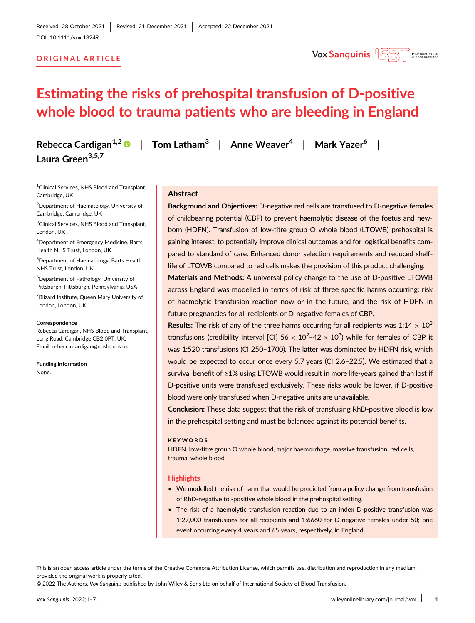DOI: 10.1111/vox.13249

# ORIGINAL ARTICLE



# Estimating the risks of prehospital transfusion of D-positive whole blood to trauma patients who are bleeding in England

Rebecca Cardigan<sup>1,2</sup> | Tom Latham<sup>3</sup> | Anne Weaver<sup>4</sup> | Mark Yazer<sup>6</sup> | Laura Green<sup>3,5,7</sup>

<sup>1</sup> Clinical Services, NHS Blood and Transplant, Cambridge, UK

2 Department of Haematology, University of Cambridge, Cambridge, UK

<sup>3</sup>Clinical Services, NHS Blood and Transplant, London, UK

4 Department of Emergency Medicine, Barts Health NHS Trust, London, UK

5 Department of Haematology, Barts Health NHS Trust, London, UK

6 Department of Pathology, University of Pittsburgh, Pittsburgh, Pennsylvania, USA

<sup>7</sup> Blizard Institute, Queen Mary University of London, London, UK

#### Correspondence

Rebecca Cardigan, NHS Blood and Transplant, Long Road, Cambridge CB2 0PT, UK. Email: [rebecca.cardigan@nhsbt.nhs.uk](mailto:rebecca.cardigan@nhsbt.nhs.uk)

Funding information None.

## Abstract

Background and Objectives: D-negative red cells are transfused to D-negative females of childbearing potential (CBP) to prevent haemolytic disease of the foetus and newborn (HDFN). Transfusion of low-titre group O whole blood (LTOWB) prehospital is gaining interest, to potentially improve clinical outcomes and for logistical benefits compared to standard of care. Enhanced donor selection requirements and reduced shelflife of LTOWB compared to red cells makes the provision of this product challenging.

Materials and Methods: A universal policy change to the use of D-positive LTOWB across England was modelled in terms of risk of three specific harms occurring: risk of haemolytic transfusion reaction now or in the future, and the risk of HDFN in future pregnancies for all recipients or D-negative females of CBP.

**Results:** The risk of any of the three harms occurring for all recipients was  $1:14 \times 10^3$ transfusions (credibility interval [CI] 56  $\times$  10<sup>2</sup>-42  $\times$  10<sup>3</sup>) while for females of CBP it was 1:520 transfusions (CI 250–1700). The latter was dominated by HDFN risk, which would be expected to occur once every 5.7 years (CI 2.6–22.5). We estimated that a survival benefit of ≥1% using LTOWB would result in more life-years gained than lost if D-positive units were transfused exclusively. These risks would be lower, if D-positive blood were only transfused when D-negative units are unavailable.

Conclusion: These data suggest that the risk of transfusing RhD-positive blood is low in the prehospital setting and must be balanced against its potential benefits.

#### KEYWORDS

HDFN, low-titre group O whole blood, major haemorrhage, massive transfusion, red cells, trauma, whole blood

#### **Highlights**

- We modelled the risk of harm that would be predicted from a policy change from transfusion of RhD-negative to -positive whole blood in the prehospital setting.
- The risk of a haemolytic transfusion reaction due to an index D-positive transfusion was 1:27,000 transfusions for all recipients and 1:6660 for D-negative females under 50; one event occurring every 4 years and 65 years, respectively, in England.

This is an open access article under the terms of the [Creative Commons Attribution](http://creativecommons.org/licenses/by/4.0/) License, which permits use, distribution and reproduction in any medium, provided the original work is properly cited.

© 2022 The Authors. Vox Sanguinis published by John Wiley & Sons Ltd on behalf of International Society of Blood Transfusion.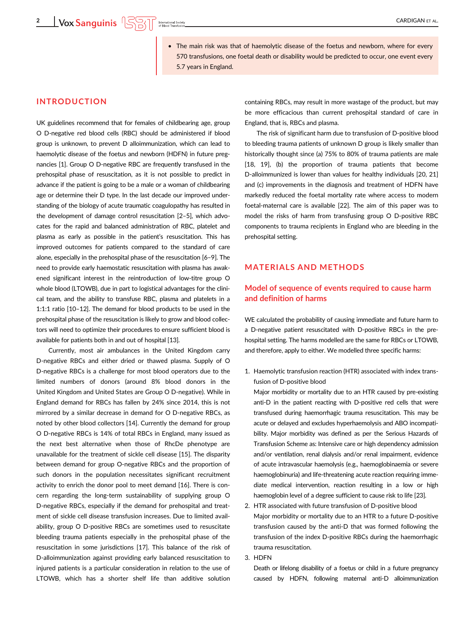• The main risk was that of haemolytic disease of the foetus and newborn, where for every 570 transfusions, one foetal death or disability would be predicted to occur, one event every 5.7 years in England.

# INTRODUCTION

UK guidelines recommend that for females of childbearing age, group O D-negative red blood cells (RBC) should be administered if blood group is unknown, to prevent D alloimmunization, which can lead to haemolytic disease of the foetus and newborn (HDFN) in future pregnancies [1]. Group O D-negative RBC are frequently transfused in the prehospital phase of resuscitation, as it is not possible to predict in advance if the patient is going to be a male or a woman of childbearing age or determine their D type. In the last decade our improved understanding of the biology of acute traumatic coagulopathy has resulted in the development of damage control resuscitation [2–5], which advocates for the rapid and balanced administration of RBC, platelet and plasma as early as possible in the patient's resuscitation. This has improved outcomes for patients compared to the standard of care alone, especially in the prehospital phase of the resuscitation [6–9]. The need to provide early haemostatic resuscitation with plasma has awakened significant interest in the reintroduction of low-titre group O whole blood (LTOWB), due in part to logistical advantages for the clinical team, and the ability to transfuse RBC, plasma and platelets in a 1:1:1 ratio [10–12]. The demand for blood products to be used in the prehospital phase of the resuscitation is likely to grow and blood collectors will need to optimize their procedures to ensure sufficient blood is available for patients both in and out of hospital [13].

Currently, most air ambulances in the United Kingdom carry D-negative RBCs and either dried or thawed plasma. Supply of O D-negative RBCs is a challenge for most blood operators due to the limited numbers of donors (around 8% blood donors in the United Kingdom and United States are Group O D-negative). While in England demand for RBCs has fallen by 24% since 2014, this is not mirrored by a similar decrease in demand for O D-negative RBCs, as noted by other blood collectors [14]. Currently the demand for group O D-negative RBCs is 14% of total RBCs in England, many issued as the next best alternative when those of RhcDe phenotype are unavailable for the treatment of sickle cell disease [15]. The disparity between demand for group O-negative RBCs and the proportion of such donors in the population necessitates significant recruitment activity to enrich the donor pool to meet demand [16]. There is concern regarding the long-term sustainability of supplying group O D-negative RBCs, especially if the demand for prehospital and treatment of sickle cell disease transfusion increases. Due to limited availability, group O D-positive RBCs are sometimes used to resuscitate bleeding trauma patients especially in the prehospital phase of the resuscitation in some jurisdictions [17]. This balance of the risk of D-alloimmunization against providing early balanced resuscitation to injured patients is a particular consideration in relation to the use of LTOWB, which has a shorter shelf life than additive solution containing RBCs, may result in more wastage of the product, but may be more efficacious than current prehospital standard of care in England, that is, RBCs and plasma.

The risk of significant harm due to transfusion of D-positive blood to bleeding trauma patients of unknown D group is likely smaller than historically thought since (a) 75% to 80% of trauma patients are male [18, 19], (b) the proportion of trauma patients that become D-alloimmunized is lower than values for healthy individuals [20, 21] and (c) improvements in the diagnosis and treatment of HDFN have markedly reduced the foetal mortality rate where access to modern foetal-maternal care is available [22]. The aim of this paper was to model the risks of harm from transfusing group O D-positive RBC components to trauma recipients in England who are bleeding in the prehospital setting.

# MATERIALS AND METHODS

# Model of sequence of events required to cause harm and definition of harms

WE calculated the probability of causing immediate and future harm to a D-negative patient resuscitated with D-positive RBCs in the prehospital setting. The harms modelled are the same for RBCs or LTOWB, and therefore, apply to either. We modelled three specific harms:

1. Haemolytic transfusion reaction (HTR) associated with index transfusion of D-positive blood

Major morbidity or mortality due to an HTR caused by pre-existing anti-D in the patient reacting with D-positive red cells that were transfused during haemorrhagic trauma resuscitation. This may be acute or delayed and excludes hyperhaemolysis and ABO incompatibility. Major morbidity was defined as per the Serious Hazards of Transfusion Scheme as: Intensive care or high dependency admission and/or ventilation, renal dialysis and/or renal impairment, evidence of acute intravascular haemolysis (e.g., haemoglobinaemia or severe haemoglobinuria) and life-threatening acute reaction requiring immediate medical intervention, reaction resulting in a low or high haemoglobin level of a degree sufficient to cause risk to life [23].

2. HTR associated with future transfusion of D-positive blood Major morbidity or mortality due to an HTR to a future D-positive transfusion caused by the anti-D that was formed following the transfusion of the index D-positive RBCs during the haemorrhagic trauma resuscitation.

## 3. HDFN

Death or lifelong disability of a foetus or child in a future pregnancy caused by HDFN, following maternal anti-D alloimmunization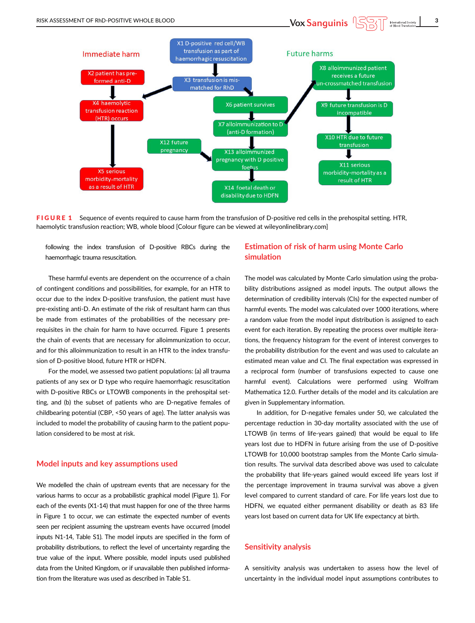

pregnancy with D positive

foetus

X14 foetal death or disability due to HDFN

haemolytic transfusion reaction; WB, whole blood [Colour figure can be viewed at [wileyonlinelibrary.com](http://wileyonlinelibrary.com)]

FIGURE 1 Sequence of events required to cause harm from the transfusion of D-positive red cells in the prehospital setting. HTR,

following the index transfusion of D-positive RBCs during the haemorrhagic trauma resuscitation.

X5 serious

morbidity-mortality

as a result of HTR

These harmful events are dependent on the occurrence of a chain of contingent conditions and possibilities, for example, for an HTR to occur due to the index D-positive transfusion, the patient must have pre-existing anti-D. An estimate of the risk of resultant harm can thus be made from estimates of the probabilities of the necessary prerequisites in the chain for harm to have occurred. Figure 1 presents the chain of events that are necessary for alloimmunization to occur, and for this alloimmunization to result in an HTR to the index transfusion of D-positive blood, future HTR or HDFN.

For the model, we assessed two patient populations: (a) all trauma patients of any sex or D type who require haemorrhagic resuscitation with D-positive RBCs or LTOWB components in the prehospital setting, and (b) the subset of patients who are D-negative females of childbearing potential (CBP, <50 years of age). The latter analysis was included to model the probability of causing harm to the patient population considered to be most at risk.

## Model inputs and key assumptions used

We modelled the chain of upstream events that are necessary for the various harms to occur as a probabilistic graphical model (Figure 1). For each of the events (X1-14) that must happen for one of the three harms in Figure 1 to occur, we can estimate the expected number of events seen per recipient assuming the upstream events have occurred (model inputs N1-14, Table S1). The model inputs are specified in the form of probability distributions, to reflect the level of uncertainty regarding the true value of the input. Where possible, model inputs used published data from the United Kingdom, or if unavailable then published information from the literature was used as described in Table S1.

# Estimation of risk of harm using Monte Carlo simulation

X11 serious

morbidity-mortality as a

result of HTR

The model was calculated by Monte Carlo simulation using the probability distributions assigned as model inputs. The output allows the determination of credibility intervals (CIs) for the expected number of harmful events. The model was calculated over 1000 iterations, where a random value from the model input distribution is assigned to each event for each iteration. By repeating the process over multiple iterations, the frequency histogram for the event of interest converges to the probability distribution for the event and was used to calculate an estimated mean value and CI. The final expectation was expressed in a reciprocal form (number of transfusions expected to cause one harmful event). Calculations were performed using Wolfram Mathematica 12.0. Further details of the model and its calculation are given in Supplementary information.

In addition, for D-negative females under 50, we calculated the percentage reduction in 30-day mortality associated with the use of LTOWB (in terms of life-years gained) that would be equal to life years lost due to HDFN in future arising from the use of D-positive LTOWB for 10,000 bootstrap samples from the Monte Carlo simulation results. The survival data described above was used to calculate the probability that life-years gained would exceed life years lost if the percentage improvement in trauma survival was above a given level compared to current standard of care. For life years lost due to HDFN, we equated either permanent disability or death as 83 life years lost based on current data for UK life expectancy at birth.

## Sensitivity analysis

A sensitivity analysis was undertaken to assess how the level of uncertainty in the individual model input assumptions contributes to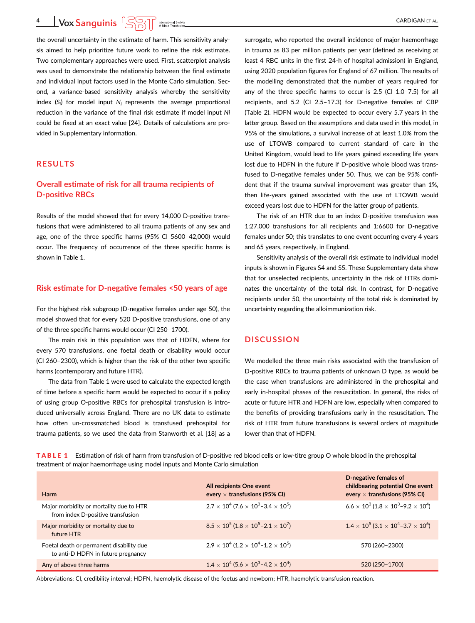**4** Vox Sanguinis  $\sqrt{S(\frac{1}{2})}$  International Society

the overall uncertainty in the estimate of harm. This sensitivity analysis aimed to help prioritize future work to refine the risk estimate. Two complementary approaches were used. First, scatterplot analysis was used to demonstrate the relationship between the final estimate and individual input factors used in the Monte Carlo simulation. Second, a variance-based sensitivity analysis whereby the sensitivity index (S<sub>i</sub>) for model input  $N_i$  represents the average proportional reduction in the variance of the final risk estimate if model input Ni could be fixed at an exact value [24]. Details of calculations are provided in Supplementary information.

# RESULTS

# Overall estimate of risk for all trauma recipients of D-positive RBCs

Results of the model showed that for every 14,000 D-positive transfusions that were administered to all trauma patients of any sex and age, one of the three specific harms (95% CI 5600–42,000) would occur. The frequency of occurrence of the three specific harms is shown in Table 1.

### Risk estimate for D-negative females <50 years of age

For the highest risk subgroup (D-negative females under age 50), the model showed that for every 520 D-positive transfusions, one of any of the three specific harms would occur (CI 250–1700).

The main risk in this population was that of HDFN, where for every 570 transfusions, one foetal death or disability would occur (CI 260–2300), which is higher than the risk of the other two specific harms (contemporary and future HTR).

The data from Table 1 were used to calculate the expected length of time before a specific harm would be expected to occur if a policy of using group O-positive RBCs for prehospital transfusion is introduced universally across England. There are no UK data to estimate how often un-crossmatched blood is transfused prehospital for trauma patients, so we used the data from Stanworth et al. [18] as a

surrogate, who reported the overall incidence of major haemorrhage in trauma as 83 per million patients per year (defined as receiving at least 4 RBC units in the first 24-h of hospital admission) in England, using 2020 population figures for England of 67 million. The results of the modelling demonstrated that the number of years required for any of the three specific harms to occur is 2.5 (CI 1.0–7.5) for all recipients, and 5.2 (CI 2.5–17.3) for D-negative females of CBP (Table 2). HDFN would be expected to occur every 5.7 years in the latter group. Based on the assumptions and data used in this model, in 95% of the simulations, a survival increase of at least 1.0% from the use of LTOWB compared to current standard of care in the United Kingdom, would lead to life years gained exceeding life years lost due to HDFN in the future if D-positive whole blood was transfused to D-negative females under 50. Thus, we can be 95% confident that if the trauma survival improvement was greater than 1%, then life-years gained associated with the use of LTOWB would exceed years lost due to HDFN for the latter group of patients.

The risk of an HTR due to an index D-positive transfusion was 1:27,000 transfusions for all recipients and 1:6600 for D-negative females under 50; this translates to one event occurring every 4 years and 65 years, respectively, in England.

Sensitivity analysis of the overall risk estimate to individual model inputs is shown in Figures S4 and S5. These Supplementary data show that for unselected recipients, uncertainty in the risk of HTRs dominates the uncertainty of the total risk. In contrast, for D-negative recipients under 50, the uncertainty of the total risk is dominated by uncertainty regarding the alloimmunization risk.

# **DISCUSSION**

We modelled the three main risks associated with the transfusion of D-positive RBCs to trauma patients of unknown D type, as would be the case when transfusions are administered in the prehospital and early in-hospital phases of the resuscitation. In general, the risks of acute or future HTR and HDFN are low, especially when compared to the benefits of providing transfusions early in the resuscitation. The risk of HTR from future transfusions is several orders of magnitude lower than that of HDFN.

**TABLE 1** Estimation of risk of harm from transfusion of D-positive red blood cells or low-titre group O whole blood in the prehospital treatment of major haemorrhage using model inputs and Monte Carlo simulation

| <b>Harm</b>                                                                    | All recipients One event<br>every $\times$ transfusions (95% CI)                | D-negative females of<br>childbearing potential One event<br>every $\times$ transfusions (95% CI) |
|--------------------------------------------------------------------------------|---------------------------------------------------------------------------------|---------------------------------------------------------------------------------------------------|
| Major morbidity or mortality due to HTR<br>from index D-positive transfusion   | $2.7 \times 10^4$ (7.6 $\times$ 10 <sup>3</sup> -3.4 $\times$ 10 <sup>5</sup> ) | $6.6 \times 10^3 (1.8 \times 10^3 - 9.2 \times 10^4)$                                             |
| Major morbidity or mortality due to<br>future HTR                              | $8.5 \times 10^5 (1.8 \times 10^5 - 2.1 \times 10^7)$                           | $1.4 \times 10^5 (3.1 \times 10^4 - 3.7 \times 10^6)$                                             |
| Foetal death or permanent disability due<br>to anti-D HDFN in future pregnancy | $2.9 \times 10^4$ (1.2 $\times$ 10 <sup>4</sup> -1.2 $\times$ 10 <sup>5</sup> ) | 570 (260-2300)                                                                                    |
| Any of above three harms                                                       | $1.4 \times 10^4$ (5.6 $\times$ 10 <sup>3</sup> -4.2 $\times$ 10 <sup>4</sup> ) | 520 (250-1700)                                                                                    |

Abbreviations: CI, credibility interval; HDFN, haemolytic disease of the foetus and newborn; HTR, haemolytic transfusion reaction.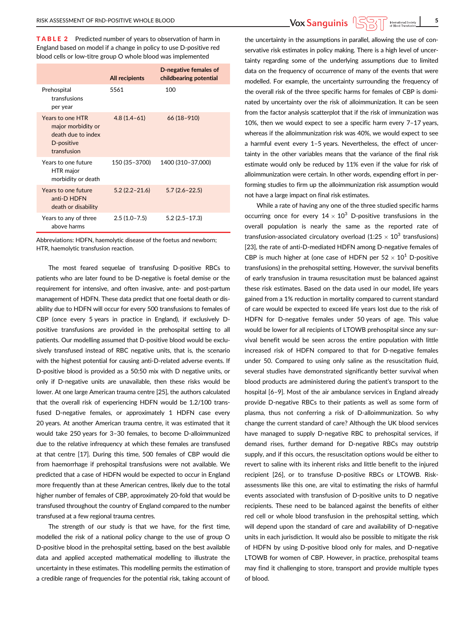TABLE 2 Predicted number of years to observation of harm in England based on model if a change in policy to use D-positive red blood cells or low-titre group O whole blood was implemented

|                                                                                           | <b>All recipients</b> | D-negative females of<br>childbearing potential |
|-------------------------------------------------------------------------------------------|-----------------------|-------------------------------------------------|
| Prehospital<br>transfusions<br>per year                                                   | 5561                  | 100                                             |
| Years to one HTR<br>major morbidity or<br>death due to index<br>D-positive<br>transfusion | $4.8(1.4-61)$         | $66(18-910)$                                    |
| Years to one future<br>HTR major<br>morbidity or death                                    | 150 (35-3700)         | 1400 (310-37,000)                               |
| Years to one future<br>anti-D HDFN<br>death or disability                                 | $5.2(2.2 - 21.6)$     | $5.7(2.6 - 22.5)$                               |
| Years to any of three<br>above harms                                                      | $2.5(1.0 - 7.5)$      | $5.2(2.5 - 17.3)$                               |

Abbreviations: HDFN, haemolytic disease of the foetus and newborn; HTR, haemolytic transfusion reaction.

The most feared sequelae of transfusing D-positive RBCs to patients who are later found to be D-negative is foetal demise or the requirement for intensive, and often invasive, ante- and post-partum management of HDFN. These data predict that one foetal death or disability due to HDFN will occur for every 500 transfusions to females of CBP (once every 5 years in practice in England), if exclusively Dpositive transfusions are provided in the prehospital setting to all patients. Our modelling assumed that D-positive blood would be exclusively transfused instead of RBC negative units, that is, the scenario with the highest potential for causing anti-D-related adverse events. If D-positive blood is provided as a 50:50 mix with D negative units, or only if D-negative units are unavailable, then these risks would be lower. At one large American trauma centre [25], the authors calculated that the overall risk of experiencing HDFN would be 1.2/100 transfused D-negative females, or approximately 1 HDFN case every 20 years. At another American trauma centre, it was estimated that it would take 250 years for 3–30 females, to become D-alloimmunized due to the relative infrequency at which these females are transfused at that centre [17]. During this time, 500 females of CBP would die from haemorrhage if prehospital transfusions were not available. We predicted that a case of HDFN would be expected to occur in England more frequently than at these American centres, likely due to the total higher number of females of CBP, approximately 20-fold that would be transfused throughout the country of England compared to the number transfused at a few regional trauma centres.

The strength of our study is that we have, for the first time, modelled the risk of a national policy change to the use of group O D-positive blood in the prehospital setting, based on the best available data and applied accepted mathematical modelling to illustrate the uncertainty in these estimates. This modelling permits the estimation of a credible range of frequencies for the potential risk, taking account of

the uncertainty in the assumptions in parallel, allowing the use of conservative risk estimates in policy making. There is a high level of uncertainty regarding some of the underlying assumptions due to limited data on the frequency of occurrence of many of the events that were modelled. For example, the uncertainty surrounding the frequency of the overall risk of the three specific harms for females of CBP is dominated by uncertainty over the risk of alloimmunization. It can be seen from the factor analysis scatterplot that if the risk of immunization was 10%, then we would expect to see a specific harm every 7–17 years, whereas if the alloimmunization risk was 40%, we would expect to see a harmful event every 1–5 years. Nevertheless, the effect of uncertainty in the other variables means that the variance of the final risk estimate would only be reduced by 11% even if the value for risk of alloimmunization were certain. In other words, expending effort in performing studies to firm up the alloimmunization risk assumption would not have a large impact on final risk estimates.

While a rate of having any one of the three studied specific harms occurring once for every  $14 \times 10^3$  D-positive transfusions in the overall population is nearly the same as the reported rate of transfusion-associated circulatory overload (1:25  $\times$  10<sup>3</sup> transfusions) [23], the rate of anti-D-mediated HDFN among D-negative females of CBP is much higher at (one case of HDFN per  $52 \times 10^1$  D-positive transfusions) in the prehospital setting. However, the survival benefits of early transfusion in trauma resuscitation must be balanced against these risk estimates. Based on the data used in our model, life years gained from a 1% reduction in mortality compared to current standard of care would be expected to exceed life years lost due to the risk of HDFN for D-negative females under 50 years of age. This value would be lower for all recipients of LTOWB prehospital since any survival benefit would be seen across the entire population with little increased risk of HDFN compared to that for D-negative females under 50. Compared to using only saline as the resuscitation fluid, several studies have demonstrated significantly better survival when blood products are administered during the patient's transport to the hospital [6–9]. Most of the air ambulance services in England already provide D-negative RBCs to their patients as well as some form of plasma, thus not conferring a risk of D-alloimmunization. So why change the current standard of care? Although the UK blood services have managed to supply D-negative RBC to prehospital services, if demand rises, further demand for D-negative RBCs may outstrip supply, and if this occurs, the resuscitation options would be either to revert to saline with its inherent risks and little benefit to the injured recipient [26], or to transfuse D-positive RBCs or LTOWB. Riskassessments like this one, are vital to estimating the risks of harmful events associated with transfusion of D-positive units to D negative recipients. These need to be balanced against the benefits of either red cell or whole blood transfusion in the prehospital setting, which will depend upon the standard of care and availability of D-negative units in each jurisdiction. It would also be possible to mitigate the risk of HDFN by using D-positive blood only for males, and D-negative LTOWB for women of CBP. However, in practice, prehospital teams may find it challenging to store, transport and provide multiple types of blood.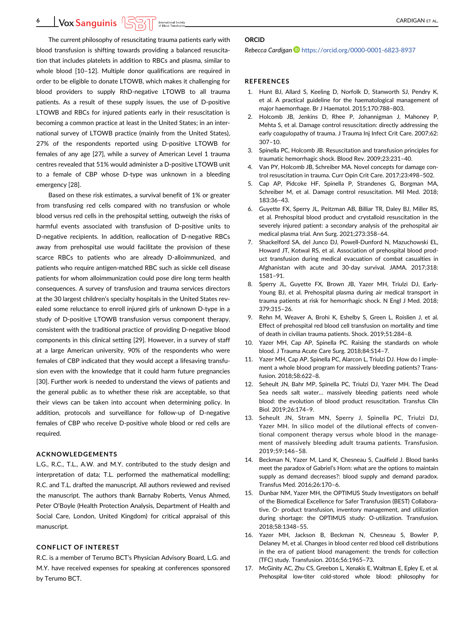The current philosophy of resuscitating trauma patients early with blood transfusion is shifting towards providing a balanced resuscitation that includes platelets in addition to RBCs and plasma, similar to whole blood [10–12]. Multiple donor qualifications are required in order to be eligible to donate LTOWB, which makes it challenging for blood providers to supply RhD-negative LTOWB to all trauma patients. As a result of these supply issues, the use of D-positive LTOWB and RBCs for injured patients early in their resuscitation is becoming a common practice at least in the United States; in an international survey of LTOWB practice (mainly from the United States), 27% of the respondents reported using D-positive LTOWB for females of any age [27], while a survey of American Level 1 trauma centres revealed that 51% would administer a D-positive LTOWB unit to a female of CBP whose D-type was unknown in a bleeding emergency [28].

Based on these risk estimates, a survival benefit of 1% or greater from transfusing red cells compared with no transfusion or whole blood versus red cells in the prehospital setting, outweigh the risks of harmful events associated with transfusion of D-positive units to D-negative recipients. In addition, reallocation of D-negative RBCs away from prehospital use would facilitate the provision of these scarce RBCs to patients who are already D-alloimmunized, and patients who require antigen-matched RBC such as sickle cell disease patients for whom alloimmunization could pose dire long term health consequences. A survey of transfusion and trauma services directors at the 30 largest children's specialty hospitals in the United States revealed some reluctance to enroll injured girls of unknown D-type in a study of D-positive LTOWB transfusion versus component therapy, consistent with the traditional practice of providing D-negative blood components in this clinical setting [29]. However, in a survey of staff at a large American university, 90% of the respondents who were females of CBP indicated that they would accept a lifesaving transfusion even with the knowledge that it could harm future pregnancies [30]. Further work is needed to understand the views of patients and the general public as to whether these risk are acceptable, so that their views can be taken into account when determining policy. In addition, protocols and surveillance for follow-up of D-negative females of CBP who receive D-positive whole blood or red cells are required.

#### ACKNOWLEDGEMENTS

L.G., R.C., T.L., A.W. and M.Y. contributed to the study design and interpretation of data; T.L. performed the mathematical modelling; R.C. and T.L. drafted the manuscript. All authors reviewed and revised the manuscript. The authors thank Barnaby Roberts, Venus Ahmed, Peter O'Boyle (Health Protection Analysis, Department of Health and Social Care, London, United Kingdom) for critical appraisal of this manuscript.

## CONFLICT OF INTEREST

R.C. is a member of Terumo BCT's Physician Advisory Board, L.G. and M.Y. have received expenses for speaking at conferences sponsored by Terumo BCT.

## ORCID

#### Rebecca Cardigan **b** <https://orcid.org/0000-0001-6823-8937>

### REFERENCES

- 1. Hunt BJ, Allard S, Keeling D, Norfolk D, Stanworth SJ, Pendry K, et al. A practical guideline for the haematological management of major haemorrhage. Br J Haematol. 2015;170:788–803.
- 2. Holcomb JB, Jenkins D, Rhee P, Johannigman J, Mahoney P, Mehta S, et al. Damage control resuscitation: directly addressing the early coagulopathy of trauma. J Trauma Ini Infect Crit Care. 2007:62: 307–10.
- 3. Spinella PC, Holcomb JB. Resuscitation and transfusion principles for traumatic hemorrhagic shock. Blood Rev. 2009;23:231–40.
- 4. Van PY, Holcomb JB, Schreiber MA. Novel concepts for damage control resuscitation in trauma. Curr Opin Crit Care. 2017;23:498–502.
- 5. Cap AP, Pidcoke HF, Spinella P, Strandenes G, Borgman MA, Schreiber M, et al. Damage control resuscitation. Mil Med. 2018; 183:36–43.
- 6. Guyette FX, Sperry JL, Peitzman AB, Billiar TR, Daley BJ, Miller RS, et al. Prehospital blood product and crystalloid resuscitation in the severely injured patient: a secondary analysis of the prehospital air medical plasma trial. Ann Surg. 2021;273:358–64.
- 7. Shackelford SA, del Junco DJ, Powell-Dunford N, Mazuchowski EL, Howard JT, Kotwal RS, et al. Association of prehospital blood product transfusion during medical evacuation of combat casualties in Afghanistan with acute and 30-day survival. JAMA. 2017;318: 1581–91.
- 8. Sperry JL, Guyette FX, Brown JB, Yazer MH, Triulzi DJ, Early-Young BJ, et al. Prehospital plasma during air medical transport in trauma patients at risk for hemorrhagic shock. N Engl J Med. 2018; 379:315–26.
- 9. Rehn M, Weaver A, Brohi K, Eshelby S, Green L, Roislien J, et al. Effect of prehospital red blood cell transfusion on mortality and time of death in civilian trauma patients. Shock. 2019;51:284–8.
- 10. Yazer MH, Cap AP, Spinella PC. Raising the standards on whole blood. J Trauma Acute Care Surg. 2018;84:S14–7.
- 11. Yazer MH, Cap AP, Spinella PC, Alarcon L, Triulzi DJ. How do I implement a whole blood program for massively bleeding patients? Transfusion. 2018;58:622–8.
- 12. Seheult JN, Bahr MP, Spinella PC, Triulzi DJ, Yazer MH. The Dead Sea needs salt water… massively bleeding patients need whole blood: the evolution of blood product resuscitation. Transfus Clin Biol. 2019;26:174–9.
- 13. Seheult JN, Stram MN, Sperry J, Spinella PC, Triulzi DJ, Yazer MH. In silico model of the dilutional effects of conventional component therapy versus whole blood in the management of massively bleeding adult trauma patients. Transfusion. 2019;59:146–58.
- 14. Beckman N, Yazer M, Land K, Chesneau S, Caulfield J. Blood banks meet the paradox of Gabriel's Horn: what are the options to maintain supply as demand decreases?: blood supply and demand paradox. Transfus Med. 2016;26:170–6.
- 15. Dunbar NM, Yazer MH, the OPTIMUS Study Investigators on behalf of the Biomedical Excellence for Safer Transfusion (BEST) Collaborative. O- product transfusion, inventory management, and utilization during shortage: the OPTIMUS study: O-utilization. Transfusion. 2018;58:1348–55.
- 16. Yazer MH, Jackson B, Beckman N, Chesneau S, Bowler P, Delaney M, et al. Changes in blood center red blood cell distributions in the era of patient blood management: the trends for collection (TFC) study. Transfusion. 2016;56:1965–73.
- 17. McGinity AC, Zhu CS, Greebon L, Xenakis E, Waltman E, Epley E, et al. Prehospital low-titer cold-stored whole blood: philosophy for